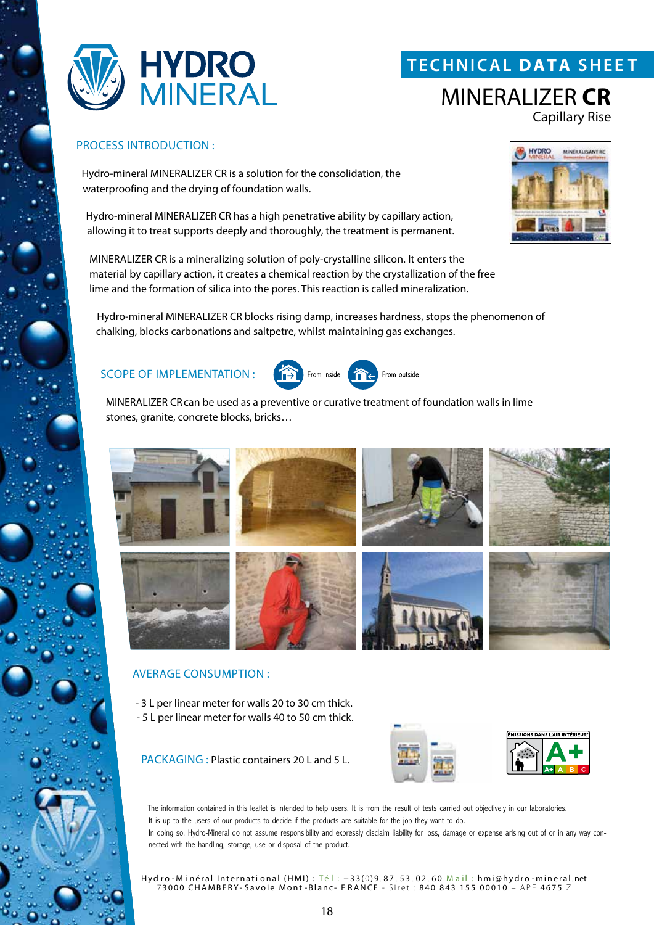

# **T ECHNICAL DATA SHEE T**

# MINERALIZER **CR** Capillary Rise

### PROCESS INTRODUCTION :

Hydro-mineral MINERALIZER CR is a solution for the consolidation, the waterproofing and the drying of foundation walls.

Hydro-mineral MINERALIZER CR has a high penetrative ability by capillary action, allowing it to treat supports deeply and thoroughly, the treatment is permanent.

MINERALIZER CR is a mineralizing solution of poly-crystalline silicon. It enters the material by capillary action, it creates a chemical reaction by the crystallization of the free lime and the formation of silica into the pores. This reaction is called mineralization.

Hydro-mineral MINERALIZER CR blocks rising damp, increases hardness, stops the phenomenon of chalking, blocks carbonations and saltpetre, whilst maintaining gas exchanges.

## SCOPE OF IMPLEMENTATION :



MINERALIZER CRcan be used as a preventive or curative treatment of foundation walls in lime stones, granite, concrete blocks, bricks…



## AVERAGE CONSUMPTION :

- 3 L per linear meter for walls 20 to 30 cm thick. - 5 L per linear meter for walls 40 to 50 cm thick.

PACKAGING : Plastic containers 20 L and 5 L.



The information contained in this leaflet is intended to help users. It is from the result of tests carried out objectively in our laboratories. It is up to the users of our products to decide if the products are suitable for the job they want to do. In doing so, Hydro-Mineral do not assume responsibility and expressly disclaim liability for loss, damage or expense arising out of or in any way connected with the handling, storage, use or disposal of the product.

Hyd ro - Minéral International (HMI) : Té l : +33(0)9.87.53.02.60 Mail : hmi@hydro - mineral.net 7 3000 CHAMBERY- Savoie Mont -Blanc- F RANCE - Siret : 840 843 155 00010 – APE 4675 Z



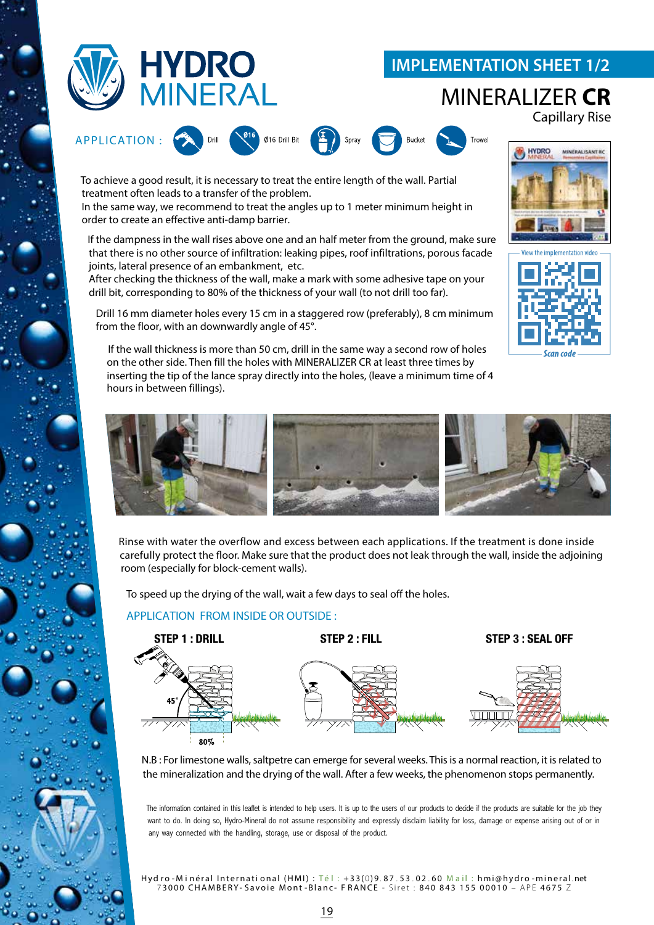

# **IMPLEMENTATION SHEET 1/2**

## MINERALIZER **CR** Capillary Rise



To achieve a good result, it is necessary to treat the entire length of the wall. Partial treatment often leads to a transfer of the problem.

In the same way, we recommend to treat the angles up to 1 meter minimum height in order to create an effective anti-damp barrier.

If the dampness in the wall rises above one and an half meter from the ground, make sure that there is no other source of infiltration: leaking pipes, roof infiltrations, porous facade joints, lateral presence of an embankment, etc.

After checking the thickness of the wall, make a mark with some adhesive tape on your drill bit, corresponding to 80% of the thickness of your wall (to not drill too far).

Drill 16 mm diameter holes every 15 cm in a staggered row (preferably), 8 cm minimum from the floor, with an downwardly angle of 45°.

If the wall thickness is more than 50 cm, drill in the same way a second row of holes on the other side. Then fill the holes with MINERALIZER CR at least three times by inserting the tip of the lance spray directly into the holes, (leave a minimum time of 4 hours in between fillings).







Rinse with water the overflow and excess between each applications. If the treatment is done inside carefully protect the floor. Make sure that the product does not leak through the wall, inside the adjoining room (especially for block-cement walls).

To speed up the drying of the wall, wait a few days to seal off the holes.

## APPLICATION FROM INSIDE OR OUTSIDE :



N.B : For limestone walls, saltpetre can emerge for several weeks. This is a normal reaction, it is related to the mineralization and the drying of the wall. After a few weeks, the phenomenon stops permanently.

The information contained in this leaflet is intended to help users. It is up to the users of our products to decide if the products are suitable for the job they want to do. In doing so, Hydro-Mineral do not assume responsibility and expressly disclaim liability for loss, damage or expense arising out of or in any way connected with the handling, storage, use or disposal of the product.

Hyd ro - Minéral International (HMI) : Té l : +33(0)9.87.53.02.60 Mail : hmi@hydro -mineral.net 7 3000 CHAMBERY- Savoie Mont -Blanc- F RANCE - Siret : 840 843 155 00010 – APE 4675 Z